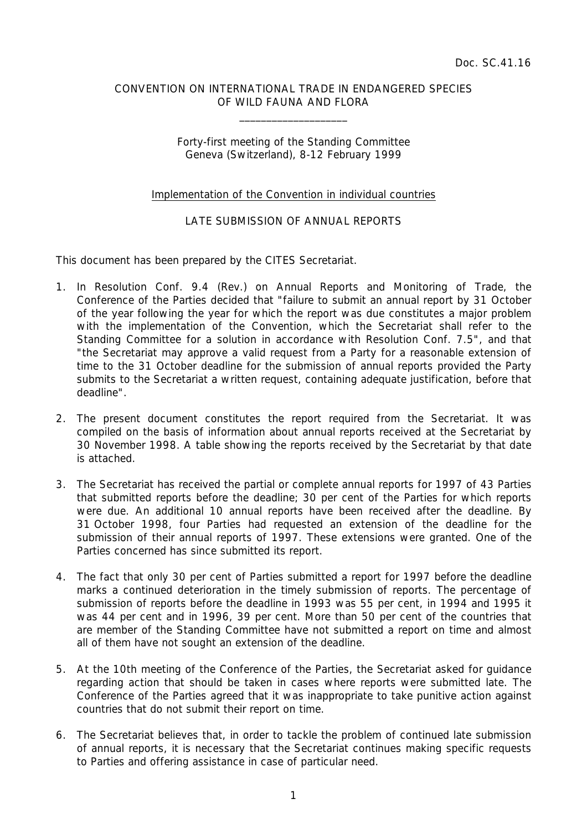## CONVENTION ON INTERNATIONAL TRADE IN ENDANGERED SPECIES OF WILD FAUNA AND FLORA

\_\_\_\_\_\_\_\_\_\_\_\_\_\_\_\_\_\_\_\_

## Forty-first meeting of the Standing Committee Geneva (Switzerland), 8-12 February 1999

## Implementation of the Convention in individual countries

## LATE SUBMISSION OF ANNUAL REPORTS

This document has been prepared by the CITES Secretariat.

- 1. In Resolution Conf. 9.4 (Rev.) on Annual Reports and Monitoring of Trade, the Conference of the Parties decided that "failure to submit an annual report by 31 October of the year following the year for which the report was due constitutes a major problem with the implementation of the Convention, which the Secretariat shall refer to the Standing Committee for a solution in accordance with Resolution Conf. 7.5", and that "the Secretariat may approve a valid request from a Party for a reasonable extension of time to the 31 October deadline for the submission of annual reports provided the Party submits to the Secretariat a written request, containing adequate justification, before that deadline".
- 2. The present document constitutes the report required from the Secretariat. It was compiled on the basis of information about annual reports received at the Secretariat by 30 November 1998. A table showing the reports received by the Secretariat by that date is attached.
- 3. The Secretariat has received the partial or complete annual reports for 1997 of 43 Parties that submitted reports before the deadline; 30 per cent of the Parties for which reports were due. An additional 10 annual reports have been received after the deadline. By 31 October 1998, four Parties had requested an extension of the deadline for the submission of their annual reports of 1997. These extensions were granted. One of the Parties concerned has since submitted its report.
- 4. The fact that only 30 per cent of Parties submitted a report for 1997 before the deadline marks a continued deterioration in the timely submission of reports. The percentage of submission of reports before the deadline in 1993 was 55 per cent, in 1994 and 1995 it was 44 per cent and in 1996, 39 per cent. More than 50 per cent of the countries that are member of the Standing Committee have not submitted a report on time and almost all of them have not sought an extension of the deadline.
- 5. At the 10th meeting of the Conference of the Parties, the Secretariat asked for guidance regarding action that should be taken in cases where reports were submitted late. The Conference of the Parties agreed that it was inappropriate to take punitive action against countries that do not submit their report on time.
- 6. The Secretariat believes that, in order to tackle the problem of continued late submission of annual reports, it is necessary that the Secretariat continues making specific requests to Parties and offering assistance in case of particular need.